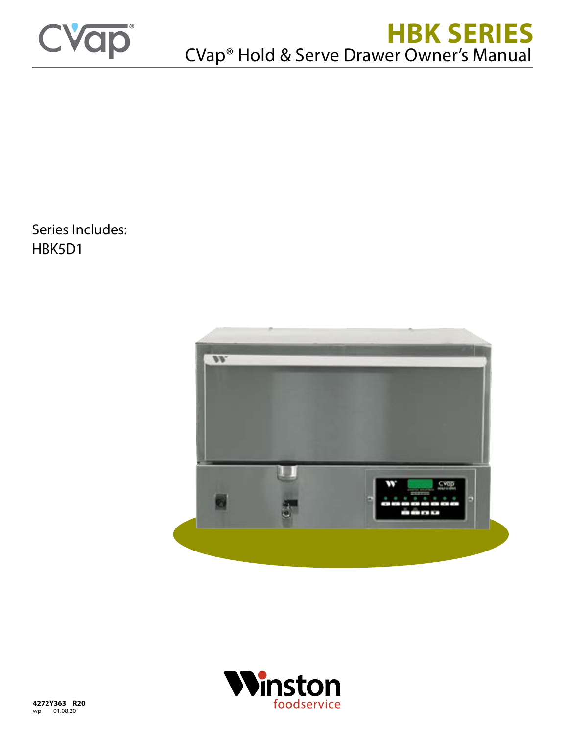

# **HBK SERIES** CVap® Hold & Serve Drawer Owner's Manual

Series Includes: HBK5D1



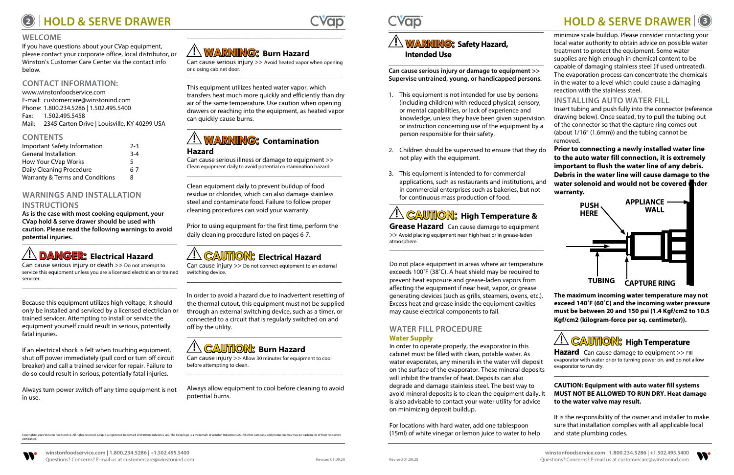# **<sup>2</sup> HOLD & SERVE DRAWER HOLD & SERVE DRAWER <sup>3</sup>**



companies.

## **WELCOME**

If you have questions about your CVap equipment, please contact your corporate office, local distributor, or Winston's Customer Care Center via the contact info below.

## **CONTACT INFORMATION:**

Because this equipment utilizes high voltage, it should only be installed and serviced by a licensed electrician or trained servicer. Attempting to install or service the equipment yourself could result in serious, potentially fatal injuries.

[www.winstonfoodservice.com](https://www.winstonfoodservice.com) E-mail: [customercare@winstonind.com](mailto:mailto:customercare%40winstonind.com?subject=Message%20from%20HBK%20Owner%27s%20Manual) Phone: 1.800.234.5286 | 1.502.495.5400 Fax: 1.502.495.5458 Mail: 2345 Carton Drive | Louisville, KY 40299 USA

## **CONTENTS**

| Important Safety Information    | $2-3$   |
|---------------------------------|---------|
| <b>General Installation</b>     | $3 - 4$ |
| How Your CVap Works             | 5       |
| Daily Cleaning Procedure        | 6-7     |
| Warranty & Terms and Conditions | 8       |

## **WARNINGS AND INSTALLATION INSTRUCTIONS**

**As is the case with most cooking equipment, your CVap hold & serve drawer should be used with caution. Please read the following warnings to avoid potential injuries.** \_\_\_\_\_\_\_\_\_\_\_\_\_\_\_\_\_\_\_\_\_\_\_\_\_\_\_\_\_\_\_\_\_\_\_\_\_\_\_\_\_\_\_

# **! DANGER: Electrical Hazard**

Can cause serious injury or death >> Do not attempt to service this equipment unless you are a licensed electrician or trained servicer. \_\_\_\_\_\_\_\_\_\_\_\_\_\_\_\_\_\_\_\_\_\_\_\_\_\_\_\_\_\_\_\_\_\_\_\_\_\_\_\_\_\_\_

If an electrical shock is felt when touching equipment, shut off power immediately (pull cord or turn off circuit breaker) and call a trained servicer for repair. Failure to do so could result in serious, potentially fatal injuries.

Always turn power switch off any time equipment is not in use.

\_\_\_\_\_\_\_\_\_\_\_\_\_\_\_\_\_\_\_\_\_\_\_\_\_\_\_\_\_\_\_\_\_\_\_\_\_\_\_\_\_\_\_\_\_\_\_

# **! WARNING: Burn Hazard**

Can cause serious injury >> Avoid heated vapor when opening or closing cabinet door. \_\_\_\_\_\_\_\_\_\_\_\_\_\_\_\_\_\_\_\_\_\_\_\_\_\_\_\_\_\_\_\_\_\_\_\_\_\_\_\_\_\_\_

This equipment utilizes heated water vapor, which transfers heat much more quickly and efficiently than dry air of the same temperature. Use caution when opening drawers or reaching into the equipment, as heated vapor can quickly cause burns.

\_\_\_\_\_\_\_\_\_\_\_\_\_\_\_\_\_\_\_\_\_\_\_\_\_\_\_\_\_\_\_\_\_\_\_\_\_\_\_\_\_\_\_

# **! WARNING: Contamination Hazard**

Can cause serious illness or damage to equipment >> Clean equipment daily to avoid potential contamination hazard.

\_\_\_\_\_\_\_\_\_\_\_\_\_\_\_\_\_\_\_\_\_\_\_\_\_\_\_\_\_\_\_\_\_\_\_\_\_\_\_\_\_\_\_

Clean equipment daily to prevent buildup of food residue or chlorides, which can also damage stainless steel and contaminate food. Failure to follow proper cleaning procedures can void your warranty.

Prior to using equipment for the first time, perform the daily cleaning procedure listed on pages 6-7.

\_\_\_\_\_\_\_\_\_\_\_\_\_\_\_\_\_\_\_\_\_\_\_\_\_\_\_\_\_\_\_\_\_\_\_\_\_\_\_\_\_\_\_

# **! CAUTION: Electrical Hazard**

Can cause injury >> Do not connect equipment to an external switching device. \_\_\_\_\_\_\_\_\_\_\_\_\_\_\_\_\_\_\_\_\_\_\_\_\_\_\_\_\_\_\_\_\_\_\_\_\_\_\_\_\_\_\_

In order to avoid a hazard due to inadvertent resetting of the thermal cutout, this equipment must not be supplied through an external switching device, such as a timer, or connected to a circuit that is regularly switched on and off by the utility.

\_\_\_\_\_\_\_\_\_\_\_\_\_\_\_\_\_\_\_\_\_\_\_\_\_\_\_\_\_\_\_\_\_\_\_\_\_\_\_\_\_\_\_

# **! CAUTION: Burn Hazard**

Can cause injury >> Allow 30 minutes for equipment to cool before attempting to clean.

\_\_\_\_\_\_\_\_\_\_\_\_\_\_\_\_\_\_\_\_\_\_\_\_\_\_\_\_\_\_\_\_\_\_\_\_\_\_\_\_\_\_\_

Always allow equipment to cool before cleaning to avoid potential burns.

# **! CAUTION: High Temperature &**

**Grease Hazard** Can cause damage to equipment >> Avoid placing equipment near high heat or in grease-laden atmosphere. \_\_\_\_\_\_\_\_\_\_\_\_\_\_\_\_\_\_\_\_\_\_\_\_\_\_\_\_\_\_\_\_\_\_\_\_\_\_\_\_\_\_\_

Do not place equipment in areas where air temperature exceeds 100˚F (38˚C). A heat shield may be required to prevent heat exposure and grease-laden vapors from affecting the equipment if near heat, vapor, or grease generating devices (such as grills, steamers, ovens, etc.). Excess heat and grease inside the equipment cavities may cause electrical components to fail.

### **WATER FILL PROCEDURE Water Supply**

In order to operate properly, the evaporator in this cabinet must be filled with clean, potable water. As water evaporates, any minerals in the water will deposit on the surface of the evaporator. These mineral deposits will inhibit the transfer of heat. Deposits can also degrade and damage stainless steel. The best way to avoid mineral deposits is to clean the equipment daily. It is also advisable to contact your water utility for advice on minimizing deposit buildup. **Hazard** Can cause damage to equipment >> Fill evaporator with water prior to turning power on, and do not allow evaporator to run dry. \_\_\_\_\_\_\_\_\_\_\_\_\_\_\_\_\_\_\_\_\_\_\_\_\_\_\_\_\_\_\_\_\_\_\_\_\_\_\_\_\_\_\_ **CAUTION: Equipment with auto water fill systems to the water valve may result.** 

For locations with hard water, add one tablespoon (15ml) of white vinegar or lemon juice to water to help It is the responsibility of the owner and installer to make sure that installation complies with all applicable local and state plumbing codes.

Copyright© 2020 Winston Foodservice. All rights reserved. CVap is a registered trademark of Winston Industries LLC. The CVap logo is a trademark of Winston Industries LLC. All other company and product names may be tradema



**The maximum incoming water temperature may not exceed 140˚F (60˚C) and the incoming water pressure must be between 20 and 150 psi (1.4 Kgf/cm2 to 10.5 Kgf/cm2 (kilogram-force per sq. centimeter)).**

\_\_\_\_\_\_\_\_\_\_\_\_\_\_\_\_\_\_\_\_\_\_\_\_\_\_\_\_\_\_\_\_\_\_\_\_\_\_\_\_\_\_\_

# **! CAUTION: High Temperature**

# **MUST NOT BE ALLOWED TO RUN DRY. Heat damage**

|    | minimize scale buildup. Please consider contacting your<br>local water authority to obtain advice on possible water<br>treatment to protect the equipment. Some water<br>supplies are high enough in chemical content to be<br>capable of damaging stainless steel (if used untreated).<br>The evaporation process can concentrate the chemicals<br>in the water to a level which could cause a damaging |  |  |  |
|----|----------------------------------------------------------------------------------------------------------------------------------------------------------------------------------------------------------------------------------------------------------------------------------------------------------------------------------------------------------------------------------------------------------|--|--|--|
|    | reaction with the stainless steel.                                                                                                                                                                                                                                                                                                                                                                       |  |  |  |
|    | <b>INSTALLING AUTO WATER FILL</b>                                                                                                                                                                                                                                                                                                                                                                        |  |  |  |
|    | Insert tubing and push fully into the connector (reference                                                                                                                                                                                                                                                                                                                                               |  |  |  |
| ρn | drawing below). Once seated, try to pull the tubing out                                                                                                                                                                                                                                                                                                                                                  |  |  |  |
| a  | of the connector so that the capture ring comes out                                                                                                                                                                                                                                                                                                                                                      |  |  |  |
|    | (about 1/16" (1.6mm)) and the tubing cannot be<br>removed.                                                                                                                                                                                                                                                                                                                                               |  |  |  |
| do | Prior to connecting a newly installed water line                                                                                                                                                                                                                                                                                                                                                         |  |  |  |
|    | to the auto water fill connection, it is extremely                                                                                                                                                                                                                                                                                                                                                       |  |  |  |
|    | important to flush the water line of any debris.                                                                                                                                                                                                                                                                                                                                                         |  |  |  |
|    | Debris in the water line will cause damage to the                                                                                                                                                                                                                                                                                                                                                        |  |  |  |
| nd | water solenoid and would not be covered <b>th</b> der<br>warranty.                                                                                                                                                                                                                                                                                                                                       |  |  |  |
|    | <b>APPLIANCE</b><br><b>PUSH</b>                                                                                                                                                                                                                                                                                                                                                                          |  |  |  |
|    | <b>WALL</b><br><b>HERE</b>                                                                                                                                                                                                                                                                                                                                                                               |  |  |  |
|    |                                                                                                                                                                                                                                                                                                                                                                                                          |  |  |  |
|    |                                                                                                                                                                                                                                                                                                                                                                                                          |  |  |  |
|    |                                                                                                                                                                                                                                                                                                                                                                                                          |  |  |  |
|    |                                                                                                                                                                                                                                                                                                                                                                                                          |  |  |  |
|    |                                                                                                                                                                                                                                                                                                                                                                                                          |  |  |  |

| <b>TUBING</b> | <b>CAPTURE RING</b> |
|---------------|---------------------|

\_\_\_\_\_\_\_\_\_\_\_\_\_\_\_\_\_\_\_\_\_\_\_\_\_\_\_\_\_\_\_\_\_\_\_\_\_\_\_\_\_\_\_\_\_\_\_

## **! WARNING: Safety Hazard, Intended Use** \_\_\_\_\_\_\_\_\_\_\_\_\_\_\_\_\_\_\_\_\_\_\_\_\_\_\_\_\_\_\_\_\_\_\_\_\_\_\_\_\_\_\_\_\_\_\_

**Can cause serious injury or damage to equipment >> Supervise untrained, young, or handicapped persons.**

- 1. This equipment is not intended for use by persons (including children) with reduced physical, sensory, or mental capabilities, or lack of experience and knowledge, unless they have been given supervision or instruction concerning use of the equipment by person responsible for their safety.
- 2. Children should be supervised to ensure that they not play with the equipment.
- for continuous mass production of food. 3. This equipment is intended to for commercial applications, such as restaurants and institutions, a in commercial enterprises such as bakeries, but not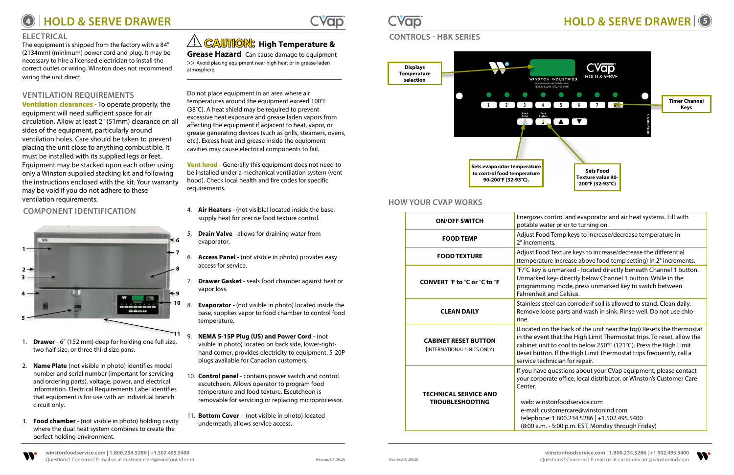# **<sup>4</sup> HOLD & SERVE DRAWER HOLD & SERVE DRAWER <sup>5</sup>**





### **ELECTRICAL**

The equipment is shipped from the factory with a 84" (2134mm) (minimum) power cord and plug. It may be necessary to hire a licensed electrician to install the correct outlet or wiring. Winston does not recommend wiring the unit direct.

## **VENTILATION REQUIREMENTS**

**Grease Hazard** Can cause damage to equipment >> Avoid placing equipment near high heat or in grease-laden atmosphere.

**Ventilation clearances** - To operate properly, the equipment will need sufficient space for air circulation. Allow at least 2" (51mm) clearance on all sides of the equipment, particularly around ventilation holes. Care should be taken to prevent placing the unit close to anything combustible. It must be installed with its supplied legs or feet. Equipment may be stacked upon each other using only a Winston supplied stacking kit and following the instructions enclosed with the kit. Your warranty may be void if you do not adhere to these ventilation requirements.

\_\_\_\_\_\_\_\_\_\_\_\_\_\_\_\_\_\_\_\_\_\_\_\_\_\_\_\_\_\_\_\_\_\_\_\_\_\_\_\_\_\_\_

# **! CAUTION: High Temperature &**

- **Drawer** 6" (152 mm) deep for holding one full size, two half size, or three third size pans.
- 2. **Name Plate** (not visible in photo) identifies model number and serial number (important for servicing and ordering parts), voltage, power, and electrical information. Electrical Requirements Label identifies that equipment is for use with an individual branch circuit only.
- 3. **Food chamber**  (not visible in photo) holding cavity where the dual heat system combines to create the perfect holding environment.

\_\_\_\_\_\_\_\_\_\_\_\_\_\_\_\_\_\_\_\_\_\_\_\_\_\_\_\_\_\_\_\_\_\_\_\_\_\_\_\_\_\_\_

Do not place equipment in an area where air temperatures around the equipment exceed 100°F (38**˚**C). A heat shield may be required to prevent excessive heat exposure and grease laden vapors from affecting the equipment if adjacent to heat, vapor, or grease generating devices (such as grills, steamers, ovens, etc.). Excess heat and grease inside the equipment cavities may cause electrical components to fail.

**Vent hood** - Generally this equipment does not need to be installed under a mechanical ventilation system (vent hood). Check local health and fire codes for specific requirements.

- **COMPONENT IDENTIFICATION** 4. **Air Heaters** (not visible) located inside the base, supply heat for precise food texture control.
	- 5. **Drain Valve** allows for draining water from evaporator.
	- 6. **Access Panel** (not visible in photo) provides easy access for service.
	- 7. **Drawer Gasket** seals food chamber against heat or vapor loss.
	- 8. **Evaporator** (not visible in photo) located inside the base, supplies vapor to food chamber to control food temperature.
	- 9. **NEMA 5-15P Plug (US) and Power Cord** (not visible in photo) located on back side, lower-righthand corner, provides electricity to equipment. 5-20P plugs available for Canadian customers.
	- 10. **Control panel** contains power switch and control escutcheon. Allows operator to program food temperature and food texture. Escutcheon is removable for servicing or replacing microprocessor.
	- 11. **Bottom Cover** (not visible in photo) located underneath, allows service access.



# **CONTROLS - HBK SERIES**

# **Displays Temperature selection**  $\frac{1}{2}$ **Sets evaporator temperature to control food temperature 90-200**°**F (32-93**°**C).**



- control and evaporator and air heat systems. Fill with vater prior to turning on.
- od Temp keys to increase/decrease temperature in ents.
- od Texture keys to increase/decrease the differential ture increase above food temp setting) in  $2^\circ$  increments.
- is unmarked located directly beneath Channel 1 button. d key- directly below Channel 1 button. While in the ming mode, press unmarked key to switch between **it and Celsius.**
- steel can corrode if soil is allowed to stand. Clean daily. oose parts and wash in sink. Rinse well. Do not use chlo-
- on the back of the unit near the top) Resets the thermostat Int that the High Limit Thermostat trips. To reset, allow the init to cool to below 250°F (121°C). Press the High Limit tton. If the High Limit Thermostat trips frequently, call a echnician for repair.
- le questions about your CVap equipment, please contact orate office, local distributor, or Winston's Customer Care
- nstonfoodservice.com customercare@winstonind.com ne: 1.800.234.5286 | +1.502.495.5400 m. - 5:00 p.m. EST, Monday through Friday)

## **HOW YOUR CVAP WORKS**

| <b>ON/OFF SWITCH</b>                                      | Energizes<br>potable w                                                              |
|-----------------------------------------------------------|-------------------------------------------------------------------------------------|
| <b>FOOD TEMP</b>                                          | Adjust Fo<br>2° increm                                                              |
| <b>FOOD TEXTURE</b>                                       | Adjust Fo<br>(temperat                                                              |
| CONVERT °F to °C or °C to °F                              | °F/°C key<br><b>Unmarke</b><br>programr<br>Fahrenhe                                 |
| <b>CLEAN DAILY</b>                                        | Stainless:<br>Remove le<br>rine.                                                    |
| <b>CABINET RESET BUTTON</b><br>(INTERNATIONAL UNITS ONLY) | (Located<br>in the eve<br>cabinet u<br><b>Reset but</b><br>service te               |
| <b>TECHNICAL SERVICE AND</b><br><b>TROUBLESHOOTING</b>    | If you hav<br>your corp<br>Center.<br>web: wii<br>e-mail: o<br>telepho<br>(8:00 a.r |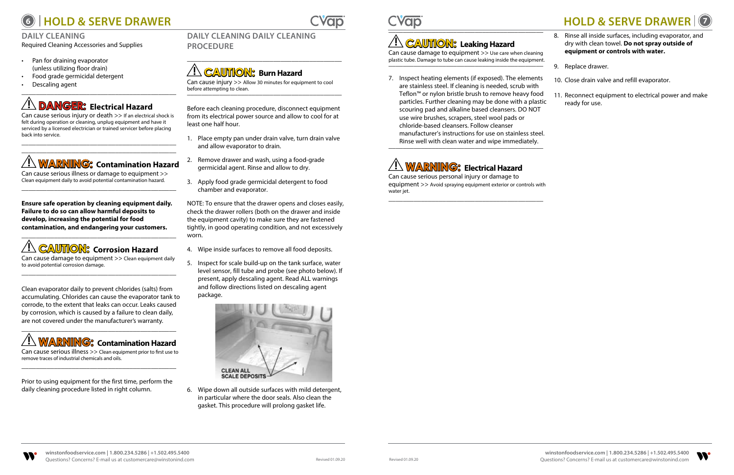





### **DAILY CLEANING**

Required Cleaning Accessories and Supplies

- Pan for draining evaporator (unless utilizing floor drain)
- Food grade germicidal detergent
- Descaling agent \_\_\_\_\_\_\_\_\_\_\_\_\_\_\_\_\_\_\_\_\_\_\_\_\_\_\_\_\_\_\_\_\_\_\_\_\_\_\_\_\_\_\_

# **! DANGER: Electrical Hazard**

Can cause serious injury or death >> If an electrical shock is felt during operation or cleaning, unplug equipment and have it serviced by a licensed electrician or trained servicer before placing back into service.

\_\_\_\_\_\_\_\_\_\_\_\_\_\_\_\_\_\_\_\_\_\_\_\_\_\_\_\_\_\_\_\_\_\_\_\_\_\_\_\_\_\_\_

# \_\_\_\_\_\_\_\_\_\_\_\_\_\_\_\_\_\_\_\_\_\_\_\_\_\_\_\_\_\_\_\_\_\_\_\_\_\_\_\_\_\_\_ **! WARNING: Contamination Hazard**

Can cause serious illness or damage to equipment >> Clean equipment daily to avoid potential contamination hazard. \_\_\_\_\_\_\_\_\_\_\_\_\_\_\_\_\_\_\_\_\_\_\_\_\_\_\_\_\_\_\_\_\_\_\_\_\_\_\_\_\_\_\_

**Ensure safe operation by cleaning equipment daily. Failure to do so can allow harmful deposits to develop, increasing the potential for food contamination, and endangering your customers.**

# \_\_\_\_\_\_\_\_\_\_\_\_\_\_\_\_\_\_\_\_\_\_\_\_\_\_\_\_\_\_\_\_\_\_\_\_\_\_\_\_\_\_\_ **! CAUTION: Corrosion Hazard**

Can cause damage to equipment >> Clean equipment daily to avoid potential corrosion damage. \_\_\_\_\_\_\_\_\_\_\_\_\_\_\_\_\_\_\_\_\_\_\_\_\_\_\_\_\_\_\_\_\_\_\_\_\_\_\_\_\_\_\_

Clean evaporator daily to prevent chlorides (salts) from accumulating. Chlorides can cause the evaporator tank to corrode, to the extent that leaks can occur. Leaks caused by corrosion, which is caused by a failure to clean daily, are not covered under the manufacturer's warranty.

Can cause damage to equipment >> Use care when cleaning plastic tube. Damage to tube can cause leaking inside the equipment.<br>————————————————————



Can cause serious illness >> Clean equipment prior to first use to remove traces of industrial chemicals and oils. \_\_\_\_\_\_\_\_\_\_\_\_\_\_\_\_\_\_\_\_\_\_\_\_\_\_\_\_\_\_\_\_\_\_\_\_\_\_\_\_\_\_\_

Prior to using equipment for the first time, perform the daily cleaning procedure listed in right column.

### **DAILY CLEANING DAILY CLEANING PROCEDURE**

\_\_\_\_\_\_\_\_\_\_\_\_\_\_\_\_\_\_\_\_\_\_\_\_\_\_\_\_\_\_\_\_\_\_\_\_\_\_\_\_\_\_\_

# **! CAUTION: Burn Hazard**

Can cause injury >> Allow 30 minutes for equipment to cool before attempting to clean. \_\_\_\_\_\_\_\_\_\_\_\_\_\_\_\_\_\_\_\_\_\_\_\_\_\_\_\_\_\_\_\_\_\_\_\_\_\_\_\_\_\_\_

Before each cleaning procedure, disconnect equipment from its electrical power source and allow to cool for at least one half hour.

- 1. Place empty pan under drain valve, turn drain valve and allow evaporator to drain.
- 2. Remove drawer and wash, using a food-grade germicidal agent. Rinse and allow to dry.
- 3. Apply food grade germicidal detergent to food chamber and evaporator.

NOTE: To ensure that the drawer opens and closes easily, check the drawer rollers (both on the drawer and inside the equipment cavity) to make sure they are fastened tightly, in good operating condition, and not excessively worn.

- 4. Wipe inside surfaces to remove all food deposits.
- 5. Inspect for scale build-up on the tank surface, water level sensor, fill tube and probe (see photo below). If present, apply descaling agent. Read ALL warnings and follow directions listed on descaling agent package.



6. Wipe down all outside surfaces with mild detergent, in particular where the door seals. Also clean the gasket. This procedure will prolong gasket life.



# **! CAUTION: Leaking Hazard**

7. Inspect heating elements (if exposed). The elements are stainless steel. If cleaning is needed, scrub with Teflon™ or nylon bristle brush to remove heavy food particles. Further cleaning may be done with a plastic scouring pad and alkaline based cleansers. DO NOT use wire brushes, scrapers, steel wool pads or chloride-based cleansers. Follow cleanser manufacturer's instructions for use on stainless steel. Rinse well with clean water and wipe immediately. 10. Close drain valve and refill evaporator. 11. Reconnect equipment to electrical power and make ready for use.



Can cause serious personal injury or damage to equipment >> Avoid spraying equipment exterior or controls with water jet. \_\_\_\_\_\_\_\_\_\_\_\_\_\_\_\_\_\_\_\_\_\_\_\_\_\_\_\_\_\_\_\_\_\_\_\_\_\_\_\_\_\_\_

- 8. Rinse all inside surfaces, including evaporator, and dry with clean towel. **Do not spray outside of equipment or controls with water.**
- 

9. Replace drawer.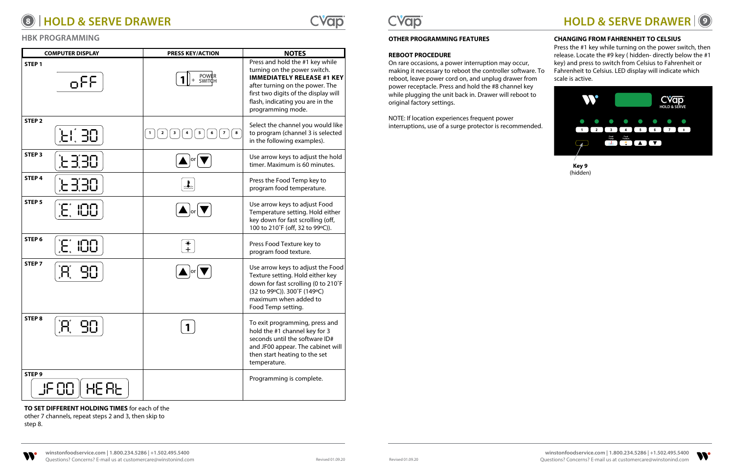





|                   | <b>COMPUTER DISPLAY</b>                                                                               | <b>PRESS KEY/ACTION</b>                          | <b>NOTES</b>                                                                                                                                                                                                                             |
|-------------------|-------------------------------------------------------------------------------------------------------|--------------------------------------------------|------------------------------------------------------------------------------------------------------------------------------------------------------------------------------------------------------------------------------------------|
| STEP <sub>1</sub> | oFF                                                                                                   | POWER<br>SWITCH                                  | Press and hold the #1 key while<br>turning on the power switch.<br><b>IMMEDIATELY RELEASE #1 KEY</b><br>after turning on the power. The<br>first two digits of the display will<br>flash, indicating you are in the<br>programming mode. |
| STEP <sub>2</sub> | $\left[\begin{array}{c} 1 \\ 1 \end{array}\right] = \left[\begin{array}{c} 1 \\ 1 \end{array}\right]$ | $\bf 8$<br>$\mathbf{2}$<br>3<br>7<br>5<br>6<br>4 | Select the channel you would like<br>to program (channel 3 is selected<br>in the following examples).                                                                                                                                    |
| STEP <sub>3</sub> | <u>וך הן הן</u>                                                                                       | lor                                              | Use arrow keys to adjust the hold<br>timer. Maximum is 60 minutes.                                                                                                                                                                       |
| STEP <sub>4</sub> | <b>EES</b>                                                                                            | $\frac{1}{2}$                                    | Press the Food Temp key to<br>program food temperature.                                                                                                                                                                                  |
| STEP <sub>5</sub> | $\mathcal{F}$ ind                                                                                     | $\blacksquare$ or                                | Use arrow keys to adjust Food<br>Temperature setting. Hold either<br>key down for fast scrolling (off,<br>100 to 210°F (off, 32 to 99°C)).                                                                                               |
| STEP 6            | $E$ , 100                                                                                             | 米<br>十                                           | Press Food Texture key to<br>program food texture.                                                                                                                                                                                       |
| STEP <sub>7</sub> | $\mathbb{S}^{\mathbb{C}}_U$                                                                           | lor                                              | Use arrow keys to adjust the Food<br>Texture setting. Hold either key<br>down for fast scrolling (0 to 210°F<br>(32 to 99°C)). 300°F (149°C)<br>maximum when added to<br>Food Temp setting.                                              |
| STEP <sub>8</sub> | 90                                                                                                    |                                                  | To exit programming, press and<br>hold the #1 channel key for 3<br>seconds until the software ID#<br>and JF00 appear. The cabinet will<br>then start heating to the set<br>temperature.                                                  |
| STEP <sub>9</sub> | JF 88   HE AE                                                                                         |                                                  | Programming is complete.                                                                                                                                                                                                                 |



## **OTHER PROGRAMMING FEATURES**

### **REBOOT PROCEDURE**

On rare occasions, a power interruption may occur, making it necessary to reboot the controller software. To reboot, leave power cord on, and unplug drawer from power receptacle. Press and hold the #8 channel key while plugging the unit back in. Drawer will reboot to original factory settings.

NOTE: If location experiences frequent power interruptions, use of a surge protector is recommended.

**TO SET DIFFERENT HOLDING TIMES** for each of the

other 7 channels, repeat steps 2 and 3, then skip to step 8.

### **CHANGING FROM FAHRENHEIT TO CELSIUS**

Press the #1 key while turning on the power switch, then release. Locate the #9 key ( hidden- directly below the #1 key) and press to switch from Celsius to Fahrenheit or Fahrenheit to Celsius. LED display will indicate which scale is active.



### **HBK PROGRAMMING**